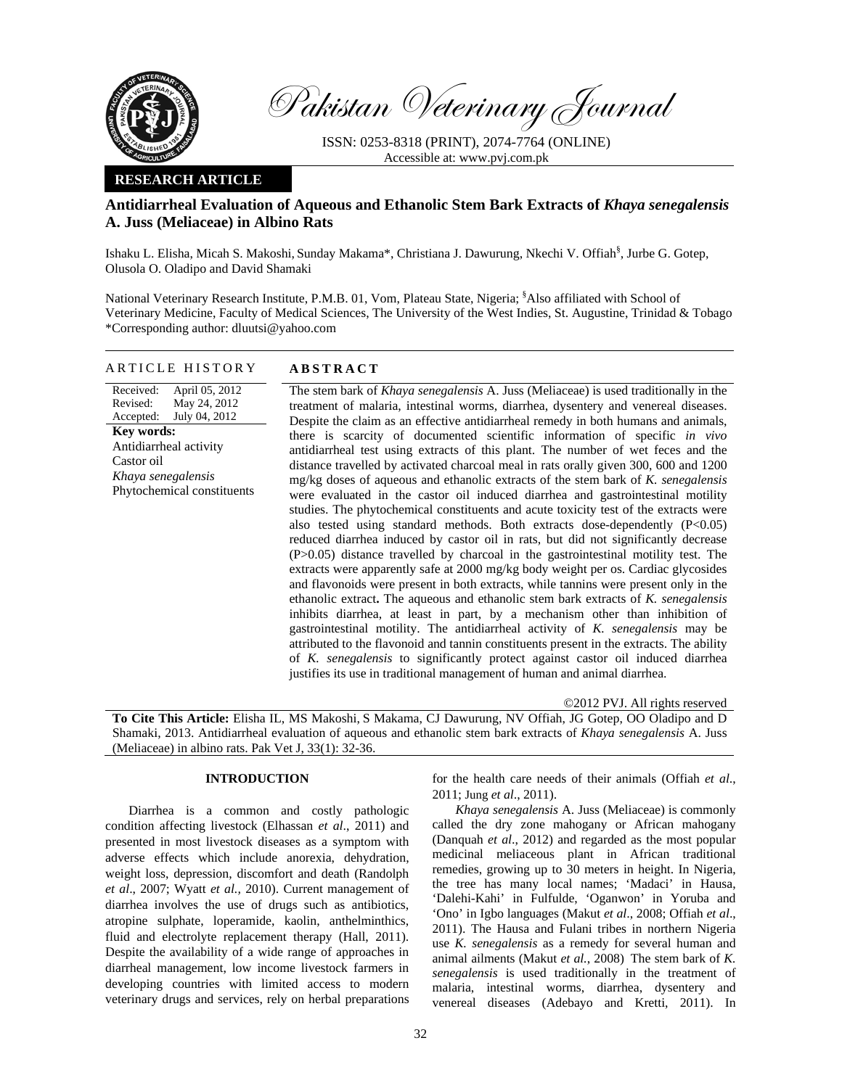

Pakistan Veterinary Journal

ISSN: 0253-8318 (PRINT), 2074-7764 (ONLINE) Accessible at: www.pvj.com.pk

### **RESEARCH ARTICLE**

# **Antidiarrheal Evaluation of Aqueous and Ethanolic Stem Bark Extracts of** *Khaya senegalensis* **A. Juss (Meliaceae) in Albino Rats**

Ishaku L. Elisha, Micah S. Makoshi, Sunday Makama\*, Christiana J. Dawurung, Nkechi V. Offiah<sup>§</sup>, Jurbe G. Gotep, Olusola O. Oladipo and David Shamaki

National Veterinary Research Institute, P.M.B. 01, Vom, Plateau State, Nigeria; <sup>§</sup>Also affiliated with School of Veterinary Medicine, Faculty of Medical Sciences, The University of the West Indies, St. Augustine, Trinidad & Tobago \*Corresponding author: dluutsi@yahoo.com

### ARTICLE HISTORY **ABSTRACT**

Received: Revised: Accepted: April 05, 2012 May 24, 2012 July 04, 2012 **Key words:**  Antidiarrheal activity Castor oil *Khaya senegalensis*  Phytochemical constituents

The stem bark of *Khaya senegalensis* A. Juss (Meliaceae) is used traditionally in the treatment of malaria, intestinal worms, diarrhea, dysentery and venereal diseases. Despite the claim as an effective antidiarrheal remedy in both humans and animals, there is scarcity of documented scientific information of specific *in vivo* antidiarrheal test using extracts of this plant. The number of wet feces and the distance travelled by activated charcoal meal in rats orally given 300, 600 and 1200 mg/kg doses of aqueous and ethanolic extracts of the stem bark of *K. senegalensis* were evaluated in the castor oil induced diarrhea and gastrointestinal motility studies. The phytochemical constituents and acute toxicity test of the extracts were also tested using standard methods. Both extracts dose-dependently (P<0.05) reduced diarrhea induced by castor oil in rats, but did not significantly decrease (P>0.05) distance travelled by charcoal in the gastrointestinal motility test. The extracts were apparently safe at 2000 mg/kg body weight per os. Cardiac glycosides and flavonoids were present in both extracts, while tannins were present only in the ethanolic extract**.** The aqueous and ethanolic stem bark extracts of *K. senegalensis* inhibits diarrhea, at least in part, by a mechanism other than inhibition of gastrointestinal motility. The antidiarrheal activity of *K. senegalensis* may be attributed to the flavonoid and tannin constituents present in the extracts. The ability of *K. senegalensis* to significantly protect against castor oil induced diarrhea justifies its use in traditional management of human and animal diarrhea.

©2012 PVJ. All rights reserved

**To Cite This Article:** Elisha IL, MS Makoshi, S Makama, CJ Dawurung, NV Offiah, JG Gotep, OO Oladipo and D Shamaki, 2013. Antidiarrheal evaluation of aqueous and ethanolic stem bark extracts of *Khaya senegalensis* A. Juss (Meliaceae) in albino rats. Pak Vet J, 33(1): 32-36.

## **INTRODUCTION**

Diarrhea is a common and costly pathologic condition affecting livestock (Elhassan *et al*., 2011) and presented in most livestock diseases as a symptom with adverse effects which include anorexia, dehydration, weight loss, depression, discomfort and death (Randolph *et al*., 2007; Wyatt *et al.,* 2010). Current management of diarrhea involves the use of drugs such as antibiotics, atropine sulphate, loperamide, kaolin, anthelminthics, fluid and electrolyte replacement therapy (Hall, 2011). Despite the availability of a wide range of approaches in diarrheal management, low income livestock farmers in developing countries with limited access to modern veterinary drugs and services, rely on herbal preparations

for the health care needs of their animals (Offiah *et al*., 2011; Jung *et al*., 2011).

*Khaya senegalensis* A. Juss (Meliaceae) is commonly called the dry zone mahogany or African mahogany (Danquah *et al*., 2012) and regarded as the most popular medicinal meliaceous plant in African traditional remedies, growing up to 30 meters in height. In Nigeria, the tree has many local names; 'Madaci' in Hausa, 'Dalehi-Kahi' in Fulfulde, 'Oganwon' in Yoruba and 'Ono' in Igbo languages (Makut *et al*., 2008; Offiah *et al*., 2011). The Hausa and Fulani tribes in northern Nigeria use *K. senegalensis* as a remedy for several human and animal ailments (Makut *et al.*, 2008) The stem bark of *K. senegalensis* is used traditionally in the treatment of malaria, intestinal worms, diarrhea, dysentery and venereal diseases (Adebayo and Kretti, 2011). In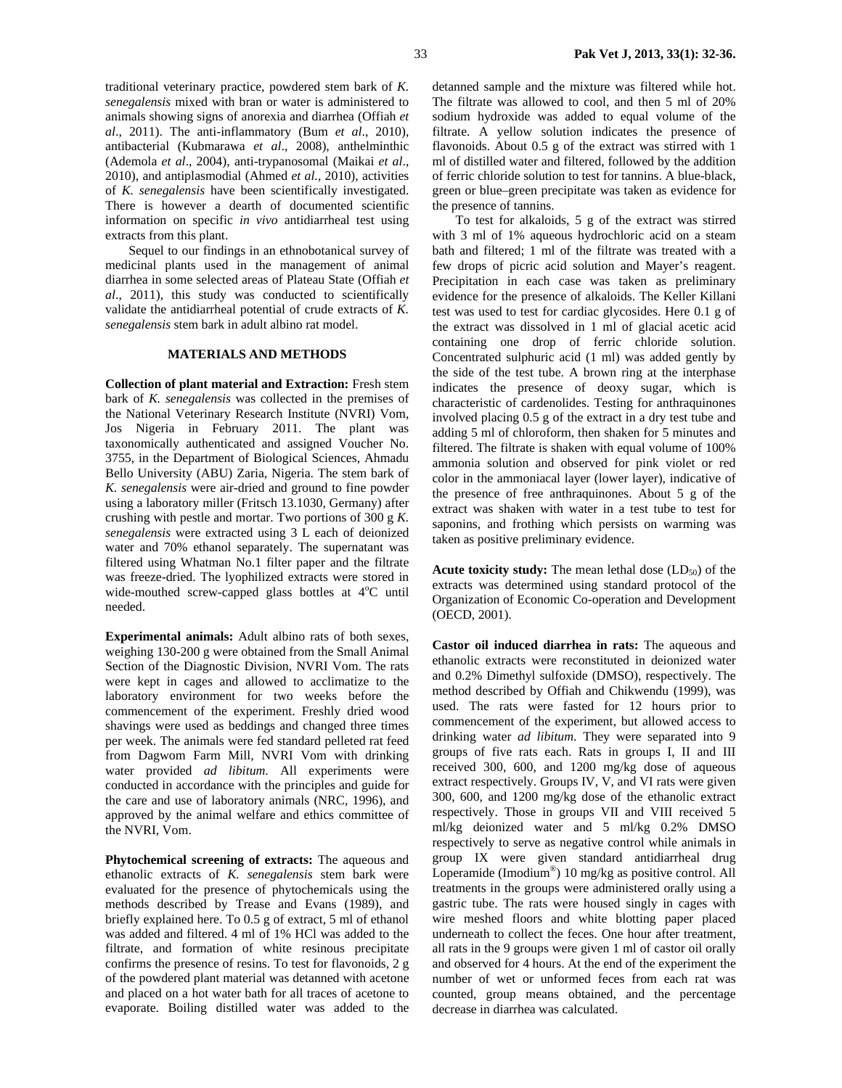traditional veterinary practice, powdered stem bark of *K. senegalensis* mixed with bran or water is administered to animals showing signs of anorexia and diarrhea (Offiah *et al*., 2011). The anti-inflammatory (Bum *et al*., 2010), antibacterial (Kubmarawa *et al*., 2008), anthelminthic (Ademola *et al*., 2004), anti-trypanosomal (Maikai *et al*., 2010), and antiplasmodial (Ahmed *et al.,* 2010), activities of *K. senegalensis* have been scientifically investigated. There is however a dearth of documented scientific information on specific *in vivo* antidiarrheal test using extracts from this plant.

Sequel to our findings in an ethnobotanical survey of medicinal plants used in the management of animal diarrhea in some selected areas of Plateau State (Offiah *et al*., 2011), this study was conducted to scientifically validate the antidiarrheal potential of crude extracts of *K. senegalensis* stem bark in adult albino rat model.

### **MATERIALS AND METHODS**

**Collection of plant material and Extraction:** Fresh stem bark of *K. senegalensis* was collected in the premises of the National Veterinary Research Institute (NVRI) Vom, Jos Nigeria in February 2011. The plant was taxonomically authenticated and assigned Voucher No. 3755, in the Department of Biological Sciences, Ahmadu Bello University (ABU) Zaria, Nigeria. The stem bark of *K. senegalensis* were air-dried and ground to fine powder using a laboratory miller (Fritsch 13.1030, Germany) after crushing with pestle and mortar. Two portions of 300 g *K. senegalensis* were extracted using 3 L each of deionized water and 70% ethanol separately. The supernatant was filtered using Whatman No.1 filter paper and the filtrate was freeze-dried. The lyophilized extracts were stored in wide-mouthed screw-capped glass bottles at  $4^{\circ}$ C until needed.

**Experimental animals:** Adult albino rats of both sexes, weighing 130-200 g were obtained from the Small Animal Section of the Diagnostic Division, NVRI Vom. The rats were kept in cages and allowed to acclimatize to the laboratory environment for two weeks before the commencement of the experiment. Freshly dried wood shavings were used as beddings and changed three times per week. The animals were fed standard pelleted rat feed from Dagwom Farm Mill, NVRI Vom with drinking water provided *ad libitum*. All experiments were conducted in accordance with the principles and guide for the care and use of laboratory animals (NRC, 1996), and approved by the animal welfare and ethics committee of the NVRI, Vom.

**Phytochemical screening of extracts:** The aqueous and ethanolic extracts of *K. senegalensis* stem bark were evaluated for the presence of phytochemicals using the methods described by Trease and Evans (1989), and briefly explained here. To 0.5 g of extract, 5 ml of ethanol was added and filtered. 4 ml of 1% HCl was added to the filtrate, and formation of white resinous precipitate confirms the presence of resins. To test for flavonoids, 2 g of the powdered plant material was detanned with acetone and placed on a hot water bath for all traces of acetone to evaporate. Boiling distilled water was added to the

detanned sample and the mixture was filtered while hot. The filtrate was allowed to cool, and then 5 ml of 20% sodium hydroxide was added to equal volume of the filtrate. A yellow solution indicates the presence of flavonoids. About 0.5 g of the extract was stirred with 1 ml of distilled water and filtered, followed by the addition of ferric chloride solution to test for tannins. A blue-black, green or blue–green precipitate was taken as evidence for the presence of tannins.

To test for alkaloids, 5 g of the extract was stirred with 3 ml of 1% aqueous hydrochloric acid on a steam bath and filtered; 1 ml of the filtrate was treated with a few drops of picric acid solution and Mayer's reagent. Precipitation in each case was taken as preliminary evidence for the presence of alkaloids. The Keller Killani test was used to test for cardiac glycosides. Here 0.1 g of the extract was dissolved in 1 ml of glacial acetic acid containing one drop of ferric chloride solution. Concentrated sulphuric acid (1 ml) was added gently by the side of the test tube. A brown ring at the interphase indicates the presence of deoxy sugar, which is characteristic of cardenolides. Testing for anthraquinones involved placing 0.5 g of the extract in a dry test tube and adding 5 ml of chloroform, then shaken for 5 minutes and filtered. The filtrate is shaken with equal volume of 100% ammonia solution and observed for pink violet or red color in the ammoniacal layer (lower layer), indicative of the presence of free anthraquinones. About 5 g of the extract was shaken with water in a test tube to test for saponins, and frothing which persists on warming was taken as positive preliminary evidence.

**Acute toxicity study:** The mean lethal dose  $(LD_{50})$  of the extracts was determined using standard protocol of the Organization of Economic Co-operation and Development (OECD, 2001).

**Castor oil induced diarrhea in rats:** The aqueous and ethanolic extracts were reconstituted in deionized water and 0.2% Dimethyl sulfoxide (DMSO), respectively. The method described by Offiah and Chikwendu (1999), was used. The rats were fasted for 12 hours prior to commencement of the experiment, but allowed access to drinking water *ad libitum*. They were separated into 9 groups of five rats each. Rats in groups I, II and III received 300, 600, and 1200 mg/kg dose of aqueous extract respectively. Groups IV, V, and VI rats were given 300, 600, and 1200 mg/kg dose of the ethanolic extract respectively. Those in groups VII and VIII received 5 ml/kg deionized water and 5 ml/kg 0.2% DMSO respectively to serve as negative control while animals in group IX were given standard antidiarrheal drug Loperamide (Imodium®) 10 mg/kg as positive control. All treatments in the groups were administered orally using a gastric tube. The rats were housed singly in cages with wire meshed floors and white blotting paper placed underneath to collect the feces. One hour after treatment, all rats in the 9 groups were given 1 ml of castor oil orally and observed for 4 hours. At the end of the experiment the number of wet or unformed feces from each rat was counted, group means obtained, and the percentage decrease in diarrhea was calculated.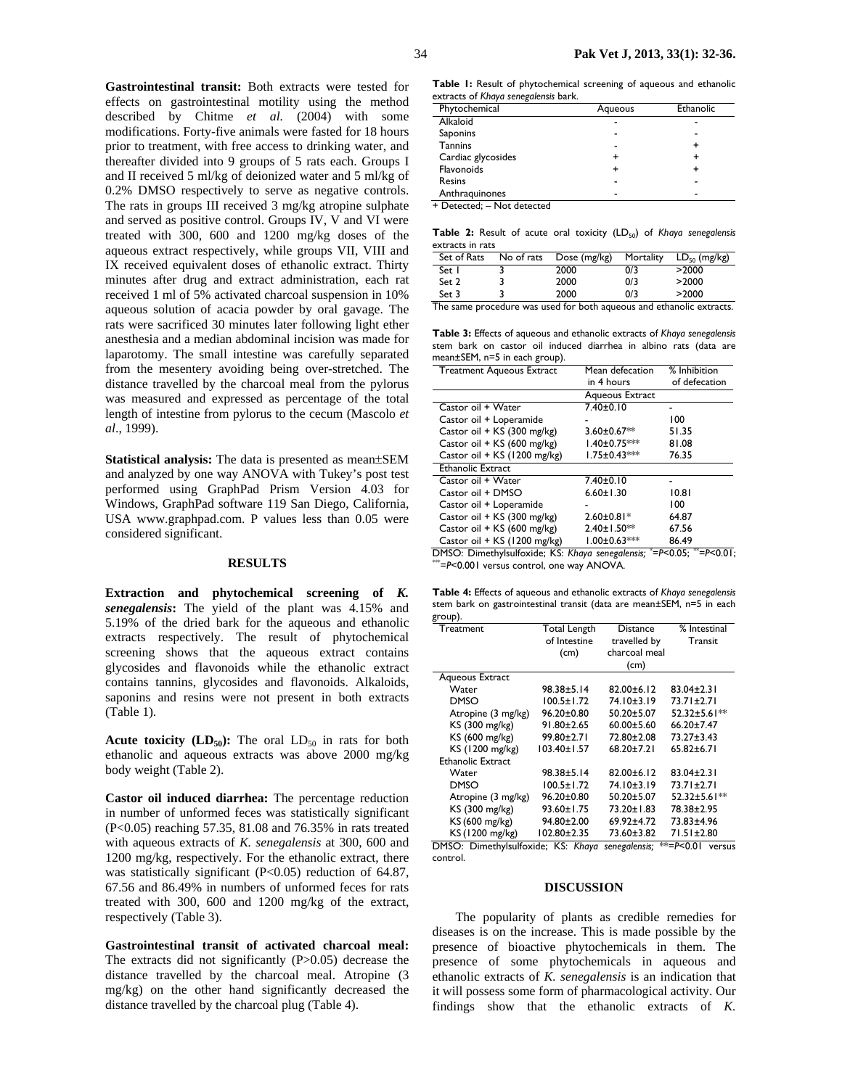**Gastrointestinal transit:** Both extracts were tested for effects on gastrointestinal motility using the method described by Chitme *et al.* (2004) with some modifications. Forty-five animals were fasted for 18 hours prior to treatment, with free access to drinking water, and thereafter divided into 9 groups of 5 rats each. Groups I and II received 5 ml/kg of deionized water and 5 ml/kg of 0.2% DMSO respectively to serve as negative controls. The rats in groups III received 3 mg/kg atropine sulphate and served as positive control. Groups IV, V and VI were treated with 300, 600 and 1200 mg/kg doses of the aqueous extract respectively, while groups VII, VIII and IX received equivalent doses of ethanolic extract. Thirty minutes after drug and extract administration, each rat received 1 ml of 5% activated charcoal suspension in 10% aqueous solution of acacia powder by oral gavage. The rats were sacrificed 30 minutes later following light ether anesthesia and a median abdominal incision was made for laparotomy. The small intestine was carefully separated from the mesentery avoiding being over-stretched. The distance travelled by the charcoal meal from the pylorus was measured and expressed as percentage of the total length of intestine from pylorus to the cecum (Mascolo *et al*., 1999).

**Statistical analysis:** The data is presented as mean±SEM and analyzed by one way ANOVA with Tukey's post test performed using GraphPad Prism Version 4.03 for Windows, GraphPad software 119 San Diego, California, USA www.graphpad.com. P values less than 0.05 were considered significant.

#### **RESULTS**

**Extraction and phytochemical screening of** *K. senegalensis***:** The yield of the plant was 4.15% and 5.19% of the dried bark for the aqueous and ethanolic extracts respectively. The result of phytochemical screening shows that the aqueous extract contains glycosides and flavonoids while the ethanolic extract contains tannins, glycosides and flavonoids. Alkaloids, saponins and resins were not present in both extracts (Table 1).

**Acute toxicity (LD<sub>50</sub>):** The oral  $LD_{50}$  in rats for both ethanolic and aqueous extracts was above 2000 mg/kg body weight (Table 2).

**Castor oil induced diarrhea:** The percentage reduction in number of unformed feces was statistically significant (P<0.05) reaching 57.35, 81.08 and 76.35% in rats treated with aqueous extracts of *K. senegalensis* at 300, 600 and 1200 mg/kg, respectively. For the ethanolic extract, there was statistically significant (P<0.05) reduction of 64.87, 67.56 and 86.49% in numbers of unformed feces for rats treated with 300, 600 and 1200 mg/kg of the extract, respectively (Table 3).

**Gastrointestinal transit of activated charcoal meal:**  The extracts did not significantly (P>0.05) decrease the distance travelled by the charcoal meal. Atropine (3 mg/kg) on the other hand significantly decreased the distance travelled by the charcoal plug (Table 4).

**Table 1:** Result of phytochemical screening of aqueous and ethanolic extracts of *Khaya senegalensis* bark.

| Phytochemical      | Aqueous | Ethanolic |
|--------------------|---------|-----------|
| Alkaloid           |         | -         |
| Saponins           |         | -         |
| <b>Tannins</b>     |         |           |
| Cardiac glycosides |         |           |
| Flavonoids         |         |           |
| Resins             |         |           |
| Anthraguinones     |         |           |

+ Detected; – Not detected

**Table 2:** Result of acute oral toxicity (LD<sub>50</sub>) of *Khaya senegalensis* extracts in rats

| Set of Rats | No of rats | Dose (mg/kg) | Mortality | $LD_{50}$ (mg/kg) |
|-------------|------------|--------------|-----------|-------------------|
| Set I       |            | 2000         | 0/3       | >2000             |
| Set 2       |            | 2000         | 0/3       | >2000             |
| Set 3       |            | 2000         | 0/3       | >2000             |
| --          |            |              |           | $\cdot$ .         |

The same procedure was used for both aqueous and ethanolic extracts.

**Table 3:** Effects of aqueous and ethanolic extracts of *Khaya senegalensis* stem bark on castor oil induced diarrhea in albino rats (data are mean±SEM, n=5 in each group).

| <b>Treatment Aqueous Extract</b> | Mean defecation     | % Inhibition  |
|----------------------------------|---------------------|---------------|
|                                  | in 4 hours          | of defecation |
|                                  | Aqueous Extract     |               |
| Castor oil + Water               | $7.40 \pm 0.10$     |               |
| Castor oil + Loperamide          |                     | 100           |
| Castor oil + KS (300 mg/kg)      | 3.60±0.67**         | 51.35         |
| Castor oil + KS (600 mg/kg)      | 1.40±0.75 ***       | 81.08         |
| Castor oil + KS (1200 mg/kg)     | $1.75 \pm 0.43***$  | 76.35         |
| Ethanolic Extract                |                     |               |
| Castor oil + Water               | 7.40±0.10           |               |
| Castor oil + DMSO                | $6.60 \pm 1.30$     | 10.81         |
| Castor oil + Loperamide          |                     | 100           |
| Castor oil + KS (300 mg/kg)      | $2.60 \pm 0.81*$    | 64.87         |
| Castor oil + KS (600 mg/kg)      | $2.40 \pm 1.50$ **  | 67.56         |
| Castor oil + KS (1200 mg/kg)     | $1.00 \pm 0.63$ *** | 86.49         |

DMSO: Dimethylsulfoxide; KS: *Khaya senegalensis;* \* <sup>=</sup>*P*<0.05; \*\*=*P*<0.01; \*\*\*=*P*<0.001 versus control, one way ANOVA.

| Table 4: Effects of aqueous and ethanolic extracts of Khaya senegalensis |
|--------------------------------------------------------------------------|
| stem bark on gastrointestinal transit (data are mean±SEM, n=5 in each    |
| group).                                                                  |

| Treatment                                                                       | Total Length      | <b>Distance</b>  | % Intestinal     |  |  |
|---------------------------------------------------------------------------------|-------------------|------------------|------------------|--|--|
|                                                                                 | of Intestine      | travelled by     | Transit          |  |  |
|                                                                                 | (cm)              | charcoal meal    |                  |  |  |
|                                                                                 |                   | (cm)             |                  |  |  |
| Aqueous Extract                                                                 |                   |                  |                  |  |  |
| Water                                                                           | 98.38±5.14        | $82.00 \pm 6.12$ | $83.04 \pm 2.31$ |  |  |
| <b>DMSO</b>                                                                     | 100.5±1.72        | 74.10±3.19       | 73.71±2.71       |  |  |
| Atropine (3 mg/kg)                                                              | $96.20 \pm 0.80$  | $50.20 \pm 5.07$ | 52.32±5.61**     |  |  |
| KS (300 mg/kg)                                                                  | 91.80±2.65        | $60.00 \pm 5.60$ | $66.20 \pm 7.47$ |  |  |
| KS (600 mg/kg)                                                                  | 99.80±2.71        | 72.80±2.08       | $73.27 \pm 3.43$ |  |  |
| KS (1200 mg/kg)                                                                 | $103.40 \pm 1.57$ | 68.20±7.21       | $65.82 \pm 6.71$ |  |  |
| Ethanolic Extract                                                               |                   |                  |                  |  |  |
| Water                                                                           | 98.38±5.14        | $82.00 \pm 6.12$ | $83.04 \pm 2.31$ |  |  |
| DMSO                                                                            | $100.5 \pm 1.72$  | 74.10±3.19       | 73.71±2.71       |  |  |
| Atropine (3 mg/kg)                                                              | $96.20 \pm 0.80$  | $50.20 \pm 5.07$ | 52.32±5.61**     |  |  |
| KS (300 mg/kg)                                                                  | 93.60±1.75        | 73.20±1.83       | 78.38±2.95       |  |  |
| KS (600 mg/kg)                                                                  | 94.80±2.00        | 69.92±4.72       | 73.83±4.96       |  |  |
| KS (1200 mg/kg)                                                                 | $102.80 \pm 2.35$ | 73.60±3.82       | 71.51±2.80       |  |  |
| DMSO: Dimethylsulfoxide; KS: Khaya<br>$* = P < 0.01$<br>senegalensis;<br>versus |                   |                  |                  |  |  |

control.

#### **DISCUSSION**

The popularity of plants as credible remedies for diseases is on the increase. This is made possible by the presence of bioactive phytochemicals in them. The presence of some phytochemicals in aqueous and ethanolic extracts of *K. senegalensis* is an indication that it will possess some form of pharmacological activity. Our findings show that the ethanolic extracts of *K.*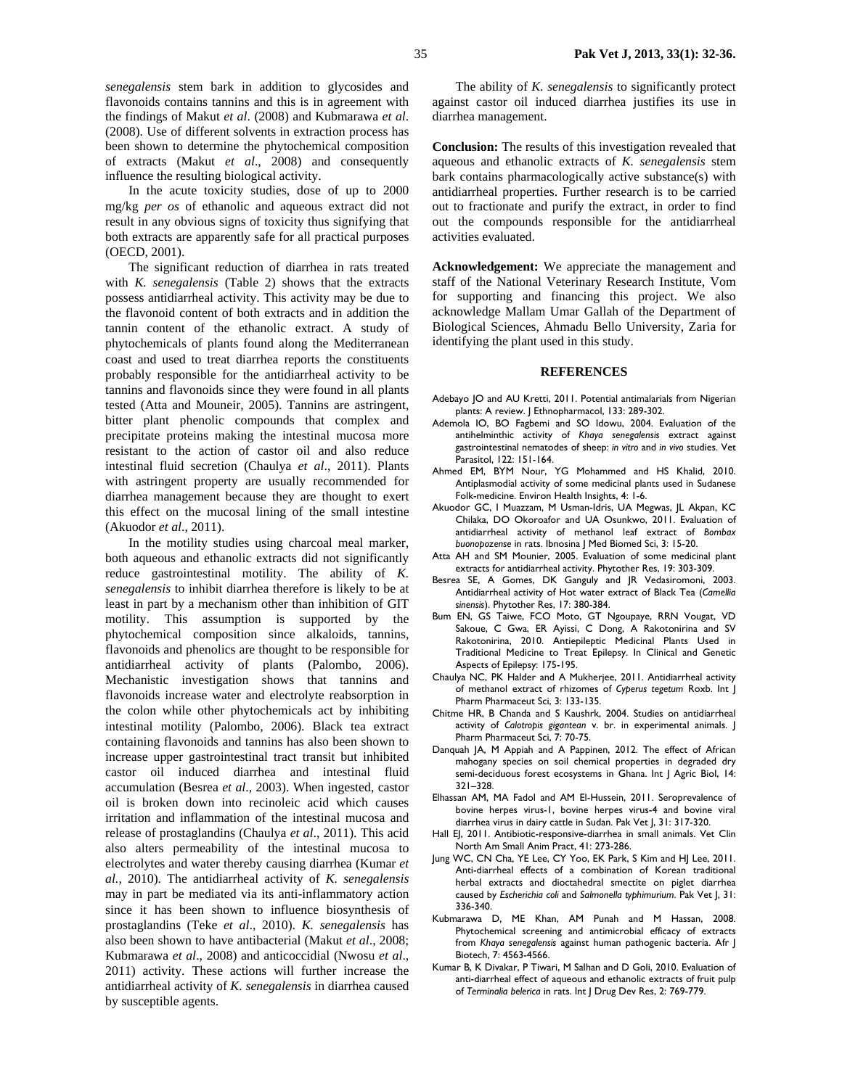*senegalensis* stem bark in addition to glycosides and flavonoids contains tannins and this is in agreement with the findings of Makut *et al*. (2008) and Kubmarawa *et al*. (2008). Use of different solvents in extraction process has been shown to determine the phytochemical composition of extracts (Makut *et al*., 2008) and consequently influence the resulting biological activity.

In the acute toxicity studies, dose of up to 2000 mg/kg *per os* of ethanolic and aqueous extract did not result in any obvious signs of toxicity thus signifying that both extracts are apparently safe for all practical purposes (OECD, 2001).

The significant reduction of diarrhea in rats treated with *K. senegalensis* (Table 2) shows that the extracts possess antidiarrheal activity. This activity may be due to the flavonoid content of both extracts and in addition the tannin content of the ethanolic extract. A study of phytochemicals of plants found along the Mediterranean coast and used to treat diarrhea reports the constituents probably responsible for the antidiarrheal activity to be tannins and flavonoids since they were found in all plants tested (Atta and Mouneir, 2005). Tannins are astringent, bitter plant phenolic compounds that complex and precipitate proteins making the intestinal mucosa more resistant to the action of castor oil and also reduce intestinal fluid secretion (Chaulya *et al*., 2011). Plants with astringent property are usually recommended for diarrhea management because they are thought to exert this effect on the mucosal lining of the small intestine (Akuodor *et al*., 2011).

In the motility studies using charcoal meal marker, both aqueous and ethanolic extracts did not significantly reduce gastrointestinal motility. The ability of *K. senegalensis* to inhibit diarrhea therefore is likely to be at least in part by a mechanism other than inhibition of GIT motility. This assumption is supported by the phytochemical composition since alkaloids, tannins, flavonoids and phenolics are thought to be responsible for antidiarrheal activity of plants (Palombo, 2006). Mechanistic investigation shows that tannins and flavonoids increase water and electrolyte reabsorption in the colon while other phytochemicals act by inhibiting intestinal motility (Palombo, 2006). Black tea extract containing flavonoids and tannins has also been shown to increase upper gastrointestinal tract transit but inhibited castor oil induced diarrhea and intestinal fluid accumulation (Besrea *et al*., 2003). When ingested, castor oil is broken down into recinoleic acid which causes irritation and inflammation of the intestinal mucosa and release of prostaglandins (Chaulya *et al*., 2011). This acid also alters permeability of the intestinal mucosa to electrolytes and water thereby causing diarrhea (Kumar *et al.,* 2010). The antidiarrheal activity of *K. senegalensis* may in part be mediated via its anti-inflammatory action since it has been shown to influence biosynthesis of prostaglandins (Teke *et al*., 2010). *K. senegalensis* has also been shown to have antibacterial (Makut *et al*., 2008; Kubmarawa *et al*., 2008) and anticoccidial (Nwosu *et al*., 2011) activity. These actions will further increase the antidiarrheal activity of *K. senegalensis* in diarrhea caused by susceptible agents.

The ability of *K. senegalensis* to significantly protect against castor oil induced diarrhea justifies its use in diarrhea management.

**Conclusion:** The results of this investigation revealed that aqueous and ethanolic extracts of *K. senegalensis* stem bark contains pharmacologically active substance(s) with antidiarrheal properties. Further research is to be carried out to fractionate and purify the extract, in order to find out the compounds responsible for the antidiarrheal activities evaluated.

**Acknowledgement:** We appreciate the management and staff of the National Veterinary Research Institute, Vom for supporting and financing this project. We also acknowledge Mallam Umar Gallah of the Department of Biological Sciences, Ahmadu Bello University, Zaria for identifying the plant used in this study.

#### **REFERENCES**

- Adebayo JO and AU Kretti, 2011. Potential antimalarials from Nigerian plants: A review. J Ethnopharmacol, 133: 289-302.
- Ademola IO, BO Fagbemi and SO Idowu, 2004. Evaluation of the antihelminthic activity of *Khaya senegalensis* extract against gastrointestinal nematodes of sheep: *in vitro* and *in vivo* studies. Vet Parasitol, 122: 151-164.
- Ahmed EM, BYM Nour, YG Mohammed and HS Khalid, 2010. Antiplasmodial activity of some medicinal plants used in Sudanese Folk-medicine. Environ Health Insights, 4: 1-6.
- Akuodor GC, I Muazzam, M Usman-Idris, UA Megwas, JL Akpan, KC Chilaka, DO Okoroafor and UA Osunkwo, 2011. Evaluation of antidiarrheal activity of methanol leaf extract of *Bombax buonopozense* in rats. Ibnosina J Med Biomed Sci, 3: 15-20.
- Atta AH and SM Mounier, 2005. Evaluation of some medicinal plant extracts for antidiarrheal activity. Phytother Res, 19: 303-309.
- Besrea SE, A Gomes, DK Ganguly and JR Vedasiromoni, 2003. Antidiarrheal activity of Hot water extract of Black Tea (*Camellia sinensis*). Phytother Res, 17: 380-384.
- Bum EN, GS Taiwe, FCO Moto, GT Ngoupaye, RRN Vougat, VD Sakoue, C Gwa, ER Ayissi, C Dong, A Rakotonirina and SV Rakotonirina, 2010. Antiepileptic Medicinal Plants Used in Traditional Medicine to Treat Epilepsy. In Clinical and Genetic Aspects of Epilepsy: 175-195.
- Chaulya NC, PK Halder and A Mukherjee, 2011. Antidiarrheal activity of methanol extract of rhizomes of *Cyperus tegetum* Roxb. Int J Pharm Pharmaceut Sci, 3: 133-135.
- Chitme HR, B Chanda and S Kaushrk, 2004. Studies on antidiarrheal activity of *Calotropis gigantean* v. br. in experimental animals. J Pharm Pharmaceut Sci, 7: 70-75.
- Danquah JA, M Appiah and A Pappinen, 2012. The effect of African mahogany species on soil chemical properties in degraded dry semi-deciduous forest ecosystems in Ghana. Int | Agric Biol, 14: 321–328.
- Elhassan AM, MA Fadol and AM El-Hussein, 2011. Seroprevalence of bovine herpes virus-1, bovine herpes virus-4 and bovine viral diarrhea virus in dairy cattle in Sudan. Pak Vet J, 31: 317-320.
- Hall EJ, 2011. Antibiotic-responsive-diarrhea in small animals. Vet Clin North Am Small Anim Pract, 41: 273-286.
- Jung WC, CN Cha, YE Lee, CY Yoo, EK Park, S Kim and HJ Lee, 2011. Anti-diarrheal effects of a combination of Korean traditional herbal extracts and dioctahedral smectite on piglet diarrhea caused by *Escherichia coli* and *Salmonella typhimurium*. Pak Vet J, 31: 336-340.
- Kubmarawa D, ME Khan, AM Punah and M Hassan, 2008. Phytochemical screening and antimicrobial efficacy of extracts from *Khaya senegalensis* against human pathogenic bacteria. Afr J Biotech, 7: 4563-4566.
- Kumar B, K Divakar, P Tiwari, M Salhan and D Goli, 2010. Evaluation of anti-diarrheal effect of aqueous and ethanolic extracts of fruit pulp of *Terminalia belerica* in rats. Int J Drug Dev Res, 2: 769-779.